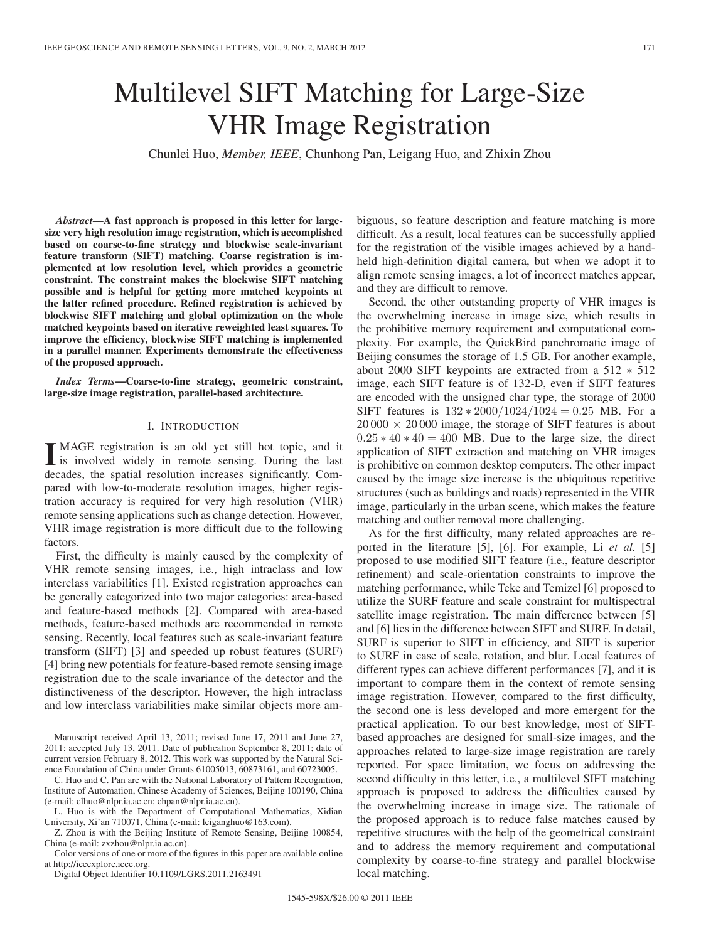# Multilevel SIFT Matching for Large-Size VHR Image Registration

Chunlei Huo, *Member, IEEE*, Chunhong Pan, Leigang Huo, and Zhixin Zhou

*Abstract***—A fast approach is proposed in this letter for largesize very high resolution image registration, which is accomplished based on coarse-to-fine strategy and blockwise scale-invariant feature transform (SIFT) matching. Coarse registration is implemented at low resolution level, which provides a geometric constraint. The constraint makes the blockwise SIFT matching possible and is helpful for getting more matched keypoints at the latter refined procedure. Refined registration is achieved by blockwise SIFT matching and global optimization on the whole matched keypoints based on iterative reweighted least squares. To improve the efficiency, blockwise SIFT matching is implemented in a parallel manner. Experiments demonstrate the effectiveness of the proposed approach.**

*Index Terms***—Coarse-to-fine strategy, geometric constraint, large-size image registration, parallel-based architecture.**

## I. INTRODUCTION

II MAGE registration is an old yet still hot topic, and it<br>is involved widely in remote sensing. During the last<br>deceded the entitle probability increases similarly Game decades, the spatial resolution increases significantly. Compared with low-to-moderate resolution images, higher registration accuracy is required for very high resolution (VHR) remote sensing applications such as change detection. However, VHR image registration is more difficult due to the following factors.

First, the difficulty is mainly caused by the complexity of VHR remote sensing images, i.e., high intraclass and low interclass variabilities [1]. Existed registration approaches can be generally categorized into two major categories: area-based and feature-based methods [2]. Compared with area-based methods, feature-based methods are recommended in remote sensing. Recently, local features such as scale-invariant feature transform (SIFT) [3] and speeded up robust features (SURF) [4] bring new potentials for feature-based remote sensing image registration due to the scale invariance of the detector and the distinctiveness of the descriptor. However, the high intraclass and low interclass variabilities make similar objects more am-

Manuscript received April 13, 2011; revised June 17, 2011 and June 27, 2011; accepted July 13, 2011. Date of publication September 8, 2011; date of current version February 8, 2012. This work was supported by the Natural Science Foundation of China under Grants 61005013, 60873161, and 60723005.

C. Huo and C. Pan are with the National Laboratory of Pattern Recognition, Institute of Automation, Chinese Academy of Sciences, Beijing 100190, China (e-mail: clhuo@nlpr.ia.ac.cn; chpan@nlpr.ia.ac.cn).

L. Huo is with the Department of Computational Mathematics, Xidian University, Xi'an 710071, China (e-mail: leiganghuo@163.com).

Z. Zhou is with the Beijing Institute of Remote Sensing, Beijing 100854, China (e-mail: zxzhou@nlpr.ia.ac.cn).

Color versions of one or more of the figures in this paper are available online at http://ieeexplore.ieee.org.

Digital Object Identifier 10.1109/LGRS.2011.2163491

biguous, so feature description and feature matching is more difficult. As a result, local features can be successfully applied for the registration of the visible images achieved by a handheld high-definition digital camera, but when we adopt it to align remote sensing images, a lot of incorrect matches appear, and they are difficult to remove.

Second, the other outstanding property of VHR images is the overwhelming increase in image size, which results in the prohibitive memory requirement and computational complexity. For example, the QuickBird panchromatic image of Beijing consumes the storage of 1.5 GB. For another example, about 2000 SIFT keypoints are extracted from a 512 ∗ 512 image, each SIFT feature is of 132-D, even if SIFT features are encoded with the unsigned char type, the storage of 2000 SIFT features is  $132 * 2000/1024/1024 = 0.25$  MB. For a  $20000 \times 20000$  image, the storage of SIFT features is about  $0.25 * 40 * 40 = 400$  MB. Due to the large size, the direct application of SIFT extraction and matching on VHR images is prohibitive on common desktop computers. The other impact caused by the image size increase is the ubiquitous repetitive structures (such as buildings and roads) represented in the VHR image, particularly in the urban scene, which makes the feature matching and outlier removal more challenging.

As for the first difficulty, many related approaches are reported in the literature [5], [6]. For example, Li *et al.* [5] proposed to use modified SIFT feature (i.e., feature descriptor refinement) and scale-orientation constraints to improve the matching performance, while Teke and Temizel [6] proposed to utilize the SURF feature and scale constraint for multispectral satellite image registration. The main difference between [5] and [6] lies in the difference between SIFT and SURF. In detail, SURF is superior to SIFT in efficiency, and SIFT is superior to SURF in case of scale, rotation, and blur. Local features of different types can achieve different performances [7], and it is important to compare them in the context of remote sensing image registration. However, compared to the first difficulty, the second one is less developed and more emergent for the practical application. To our best knowledge, most of SIFTbased approaches are designed for small-size images, and the approaches related to large-size image registration are rarely reported. For space limitation, we focus on addressing the second difficulty in this letter, i.e., a multilevel SIFT matching approach is proposed to address the difficulties caused by the overwhelming increase in image size. The rationale of the proposed approach is to reduce false matches caused by repetitive structures with the help of the geometrical constraint and to address the memory requirement and computational complexity by coarse-to-fine strategy and parallel blockwise local matching.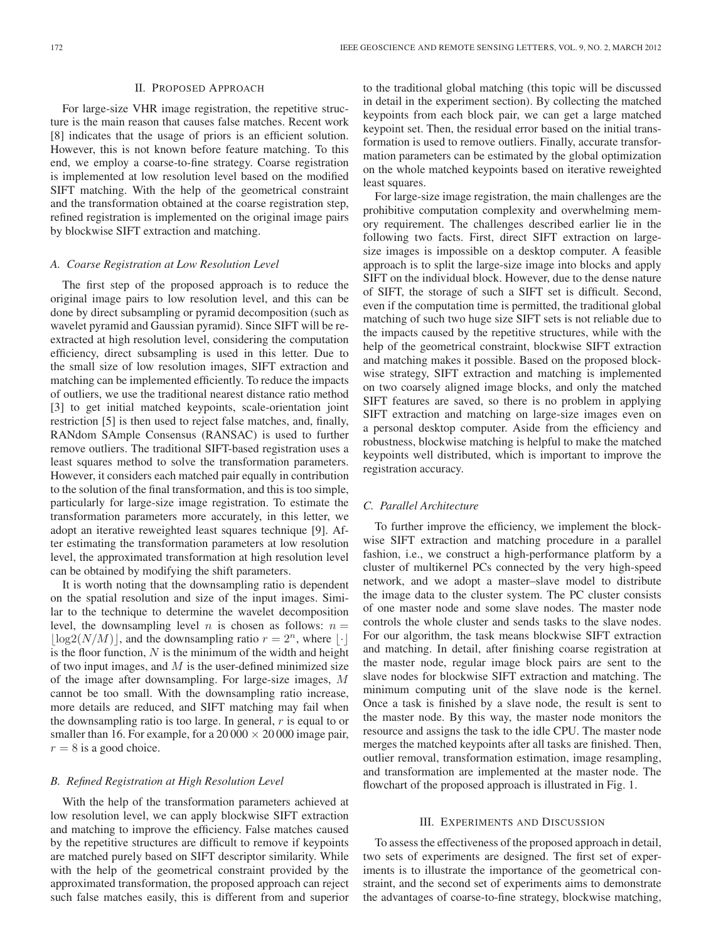#### II. PROPOSED APPROACH

For large-size VHR image registration, the repetitive structure is the main reason that causes false matches. Recent work [8] indicates that the usage of priors is an efficient solution. However, this is not known before feature matching. To this end, we employ a coarse-to-fine strategy. Coarse registration is implemented at low resolution level based on the modified SIFT matching. With the help of the geometrical constraint and the transformation obtained at the coarse registration step, refined registration is implemented on the original image pairs by blockwise SIFT extraction and matching.

# *A. Coarse Registration at Low Resolution Level*

The first step of the proposed approach is to reduce the original image pairs to low resolution level, and this can be done by direct subsampling or pyramid decomposition (such as wavelet pyramid and Gaussian pyramid). Since SIFT will be reextracted at high resolution level, considering the computation efficiency, direct subsampling is used in this letter. Due to the small size of low resolution images, SIFT extraction and matching can be implemented efficiently. To reduce the impacts of outliers, we use the traditional nearest distance ratio method [3] to get initial matched keypoints, scale-orientation joint restriction [5] is then used to reject false matches, and, finally, RANdom SAmple Consensus (RANSAC) is used to further remove outliers. The traditional SIFT-based registration uses a least squares method to solve the transformation parameters. However, it considers each matched pair equally in contribution to the solution of the final transformation, and this is too simple, particularly for large-size image registration. To estimate the transformation parameters more accurately, in this letter, we adopt an iterative reweighted least squares technique [9]. After estimating the transformation parameters at low resolution level, the approximated transformation at high resolution level can be obtained by modifying the shift parameters.

It is worth noting that the downsampling ratio is dependent on the spatial resolution and size of the input images. Similar to the technique to determine the wavelet decomposition level, the downsampling level *n* is chosen as follows:  $n =$  $\lfloor \log 2(N/M) \rfloor$  , and the downsampling ratio  $r=2^n,$  where  $\lfloor \cdot \rfloor$ is the floor function,  $N$  is the minimum of the width and height of two input images, and  $M$  is the user-defined minimized size of the image after downsampling. For large-size images, M cannot be too small. With the downsampling ratio increase, more details are reduced, and SIFT matching may fail when the downsampling ratio is too large. In general,  $r$  is equal to or smaller than 16. For example, for a  $20000 \times 20000$  image pair,  $r = 8$  is a good choice.

#### *B. Refined Registration at High Resolution Level*

With the help of the transformation parameters achieved at low resolution level, we can apply blockwise SIFT extraction and matching to improve the efficiency. False matches caused by the repetitive structures are difficult to remove if keypoints are matched purely based on SIFT descriptor similarity. While with the help of the geometrical constraint provided by the approximated transformation, the proposed approach can reject such false matches easily, this is different from and superior

to the traditional global matching (this topic will be discussed in detail in the experiment section). By collecting the matched keypoints from each block pair, we can get a large matched keypoint set. Then, the residual error based on the initial transformation is used to remove outliers. Finally, accurate transformation parameters can be estimated by the global optimization on the whole matched keypoints based on iterative reweighted least squares.

For large-size image registration, the main challenges are the prohibitive computation complexity and overwhelming memory requirement. The challenges described earlier lie in the following two facts. First, direct SIFT extraction on largesize images is impossible on a desktop computer. A feasible approach is to split the large-size image into blocks and apply SIFT on the individual block. However, due to the dense nature of SIFT, the storage of such a SIFT set is difficult. Second, even if the computation time is permitted, the traditional global matching of such two huge size SIFT sets is not reliable due to the impacts caused by the repetitive structures, while with the help of the geometrical constraint, blockwise SIFT extraction and matching makes it possible. Based on the proposed blockwise strategy, SIFT extraction and matching is implemented on two coarsely aligned image blocks, and only the matched SIFT features are saved, so there is no problem in applying SIFT extraction and matching on large-size images even on a personal desktop computer. Aside from the efficiency and robustness, blockwise matching is helpful to make the matched keypoints well distributed, which is important to improve the registration accuracy.

## *C. Parallel Architecture*

To further improve the efficiency, we implement the blockwise SIFT extraction and matching procedure in a parallel fashion, i.e., we construct a high-performance platform by a cluster of multikernel PCs connected by the very high-speed network, and we adopt a master–slave model to distribute the image data to the cluster system. The PC cluster consists of one master node and some slave nodes. The master node controls the whole cluster and sends tasks to the slave nodes. For our algorithm, the task means blockwise SIFT extraction and matching. In detail, after finishing coarse registration at the master node, regular image block pairs are sent to the slave nodes for blockwise SIFT extraction and matching. The minimum computing unit of the slave node is the kernel. Once a task is finished by a slave node, the result is sent to the master node. By this way, the master node monitors the resource and assigns the task to the idle CPU. The master node merges the matched keypoints after all tasks are finished. Then, outlier removal, transformation estimation, image resampling, and transformation are implemented at the master node. The flowchart of the proposed approach is illustrated in Fig. 1.

### III. EXPERIMENTS AND DISCUSSION

To assess the effectiveness of the proposed approach in detail, two sets of experiments are designed. The first set of experiments is to illustrate the importance of the geometrical constraint, and the second set of experiments aims to demonstrate the advantages of coarse-to-fine strategy, blockwise matching,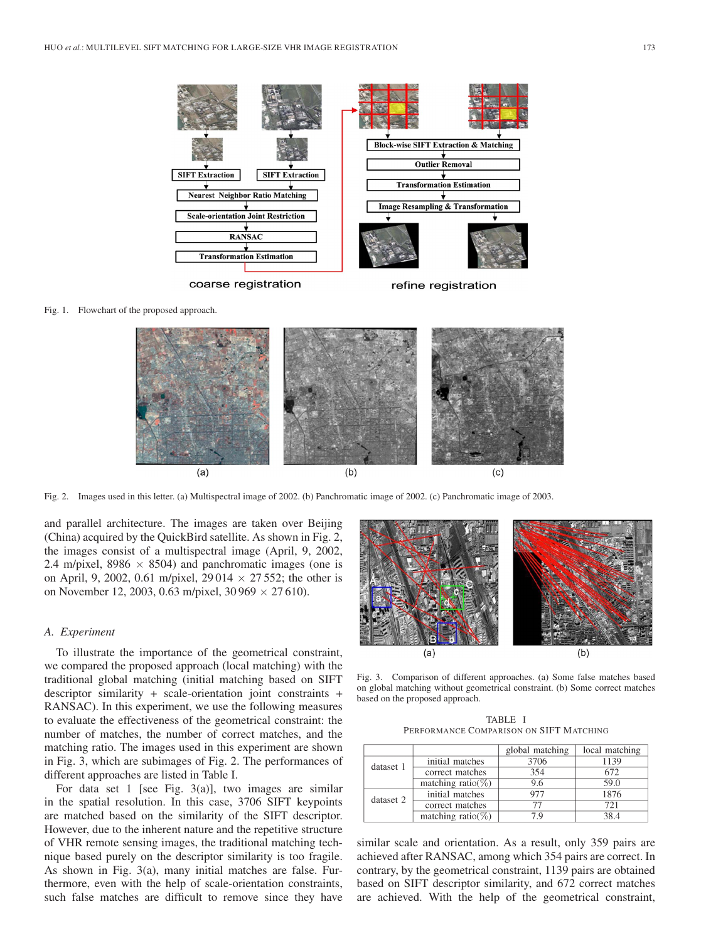

Fig. 1. Flowchart of the proposed approach.



Fig. 2. Images used in this letter. (a) Multispectral image of 2002. (b) Panchromatic image of 2002. (c) Panchromatic image of 2003.

and parallel architecture. The images are taken over Beijing (China) acquired by the QuickBird satellite. As shown in Fig. 2, the images consist of a multispectral image (April, 9, 2002, 2.4 m/pixel,  $8986 \times 8504$ ) and panchromatic images (one is on April, 9, 2002, 0.61 m/pixel, 29 014  $\times$  27 552; the other is on November 12, 2003, 0.63 m/pixel, 30 969  $\times$  27 610).

### *A. Experiment*

To illustrate the importance of the geometrical constraint, we compared the proposed approach (local matching) with the traditional global matching (initial matching based on SIFT descriptor similarity + scale-orientation joint constraints + RANSAC). In this experiment, we use the following measures to evaluate the effectiveness of the geometrical constraint: the number of matches, the number of correct matches, and the matching ratio. The images used in this experiment are shown in Fig. 3, which are subimages of Fig. 2. The performances of different approaches are listed in Table I.

For data set 1 [see Fig. 3(a)], two images are similar in the spatial resolution. In this case, 3706 SIFT keypoints are matched based on the similarity of the SIFT descriptor. However, due to the inherent nature and the repetitive structure of VHR remote sensing images, the traditional matching technique based purely on the descriptor similarity is too fragile. As shown in Fig. 3(a), many initial matches are false. Furthermore, even with the help of scale-orientation constraints, such false matches are difficult to remove since they have



Fig. 3. Comparison of different approaches. (a) Some false matches based on global matching without geometrical constraint. (b) Some correct matches based on the proposed approach.

TABLE I PERFORMANCE COMPARISON ON SIFT MATCHING

|           |                        | global matching | local matching |
|-----------|------------------------|-----------------|----------------|
| dataset 1 | initial matches        | 3706            | 1139           |
|           | correct matches        | 354             | 672            |
|           | matching ratio( $\%$ ) | 9.6             | 59.0           |
| dataset 2 | initial matches        | 977             | 1876           |
|           | correct matches        | 77              | 721            |
|           | matching ratio( $\%$ ) | 7 Q             | 38.4           |

similar scale and orientation. As a result, only 359 pairs are achieved after RANSAC, among which 354 pairs are correct. In contrary, by the geometrical constraint, 1139 pairs are obtained based on SIFT descriptor similarity, and 672 correct matches are achieved. With the help of the geometrical constraint,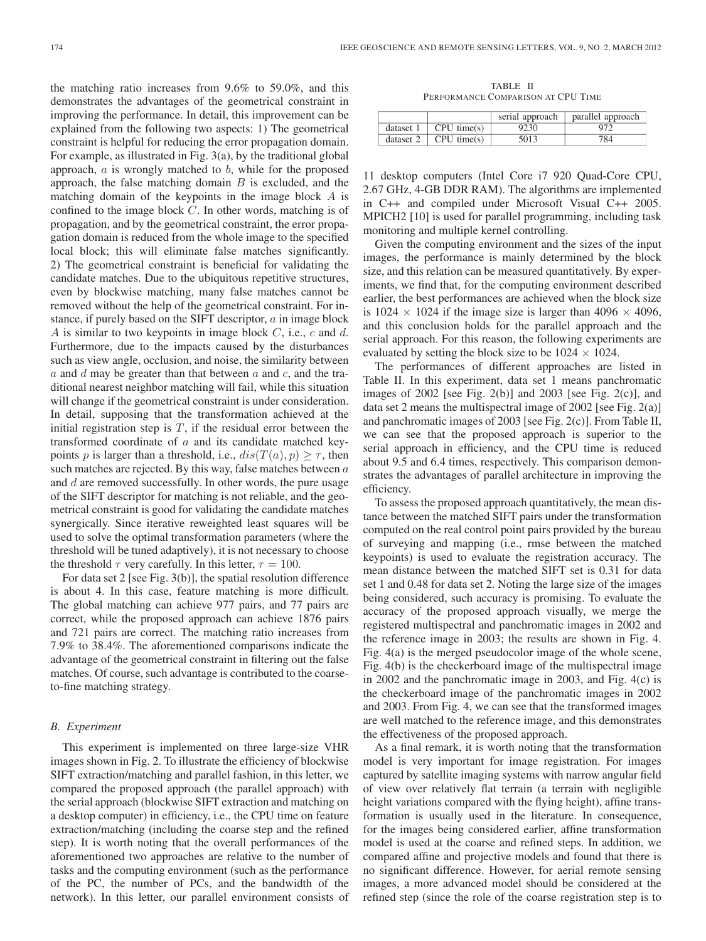the matching ratio increases from 9.6% to 59.0%, and this demonstrates the advantages of the geometrical constraint in improving the performance. In detail, this improvement can be explained from the following two aspects: 1) The geometrical constraint is helpful for reducing the error propagation domain. For example, as illustrated in Fig. 3(a), by the traditional global approach,  $a$  is wrongly matched to  $b$ , while for the proposed approach, the false matching domain  $B$  is excluded, and the matching domain of the keypoints in the image block A is confined to the image block C. In other words, matching is of propagation, and by the geometrical constraint, the error propagation domain is reduced from the whole image to the specified local block; this will eliminate false matches significantly. 2) The geometrical constraint is beneficial for validating the candidate matches. Due to the ubiquitous repetitive structures, even by blockwise matching, many false matches cannot be removed without the help of the geometrical constraint. For instance, if purely based on the SIFT descriptor, a in image block A is similar to two keypoints in image block  $C$ , i.e.,  $c$  and  $d$ . Furthermore, due to the impacts caused by the disturbances such as view angle, occlusion, and noise, the similarity between a and d may be greater than that between  $a$  and  $c$ , and the traditional nearest neighbor matching will fail, while this situation will change if the geometrical constraint is under consideration. In detail, supposing that the transformation achieved at the initial registration step is  $T$ , if the residual error between the transformed coordinate of a and its candidate matched keypoints p is larger than a threshold, i.e.,  $dis(T(a), p) \geq \tau$ , then such matches are rejected. By this way, false matches between  $a$ and d are removed successfully. In other words, the pure usage of the SIFT descriptor for matching is not reliable, and the geometrical constraint is good for validating the candidate matches synergically. Since iterative reweighted least squares will be used to solve the optimal transformation parameters (where the threshold will be tuned adaptively), it is not necessary to choose the threshold  $\tau$  very carefully. In this letter,  $\tau = 100$ .

For data set 2 [see Fig. 3(b)], the spatial resolution difference is about 4. In this case, feature matching is more difficult. The global matching can achieve 977 pairs, and 77 pairs are correct, while the proposed approach can achieve 1876 pairs and 721 pairs are correct. The matching ratio increases from 7.9% to 38.4%. The aforementioned comparisons indicate the advantage of the geometrical constraint in filtering out the false matches. Of course, such advantage is contributed to the coarseto-fine matching strategy.

## *B. Experiment*

This experiment is implemented on three large-size VHR images shown in Fig. 2. To illustrate the efficiency of blockwise SIFT extraction/matching and parallel fashion, in this letter, we compared the proposed approach (the parallel approach) with the serial approach (blockwise SIFT extraction and matching on a desktop computer) in efficiency, i.e., the CPU time on feature extraction/matching (including the coarse step and the refined step). It is worth noting that the overall performances of the aforementioned two approaches are relative to the number of tasks and the computing environment (such as the performance of the PC, the number of PCs, and the bandwidth of the network). In this letter, our parallel environment consists of

TABLE II PERFORMANCE COMPARISON AT CPU TIME

|           |                 | serial approach | parallel approach |
|-----------|-----------------|-----------------|-------------------|
| dataset 1 | $CPU \times(s)$ | 9230            |                   |
| dataset 2 | $CPU \times(s)$ | 5013            | 784.              |

11 desktop computers (Intel Core i7 920 Quad-Core CPU, 2.67 GHz, 4-GB DDR RAM). The algorithms are implemented in C++ and compiled under Microsoft Visual C++ 2005. MPICH2 [10] is used for parallel programming, including task monitoring and multiple kernel controlling.

Given the computing environment and the sizes of the input images, the performance is mainly determined by the block size, and this relation can be measured quantitatively. By experiments, we find that, for the computing environment described earlier, the best performances are achieved when the block size is 1024  $\times$  1024 if the image size is larger than 4096  $\times$  4096, and this conclusion holds for the parallel approach and the serial approach. For this reason, the following experiments are evaluated by setting the block size to be  $1024 \times 1024$ .

The performances of different approaches are listed in Table II. In this experiment, data set 1 means panchromatic images of  $2002$  [see Fig.  $2(b)$ ] and  $2003$  [see Fig.  $2(c)$ ], and data set 2 means the multispectral image of 2002 [see Fig. 2(a)] and panchromatic images of 2003 [see Fig. 2(c)]. From Table II, we can see that the proposed approach is superior to the serial approach in efficiency, and the CPU time is reduced about 9.5 and 6.4 times, respectively. This comparison demonstrates the advantages of parallel architecture in improving the efficiency.

To assess the proposed approach quantitatively, the mean distance between the matched SIFT pairs under the transformation computed on the real control point pairs provided by the bureau of surveying and mapping (i.e., rmse between the matched keypoints) is used to evaluate the registration accuracy. The mean distance between the matched SIFT set is 0.31 for data set 1 and 0.48 for data set 2. Noting the large size of the images being considered, such accuracy is promising. To evaluate the accuracy of the proposed approach visually, we merge the registered multispectral and panchromatic images in 2002 and the reference image in 2003; the results are shown in Fig. 4. Fig. 4(a) is the merged pseudocolor image of the whole scene, Fig. 4(b) is the checkerboard image of the multispectral image in 2002 and the panchromatic image in 2003, and Fig. 4(c) is the checkerboard image of the panchromatic images in 2002 and 2003. From Fig. 4, we can see that the transformed images are well matched to the reference image, and this demonstrates the effectiveness of the proposed approach.

As a final remark, it is worth noting that the transformation model is very important for image registration. For images captured by satellite imaging systems with narrow angular field of view over relatively flat terrain (a terrain with negligible height variations compared with the flying height), affine transformation is usually used in the literature. In consequence, for the images being considered earlier, affine transformation model is used at the coarse and refined steps. In addition, we compared affine and projective models and found that there is no significant difference. However, for aerial remote sensing images, a more advanced model should be considered at the refined step (since the role of the coarse registration step is to